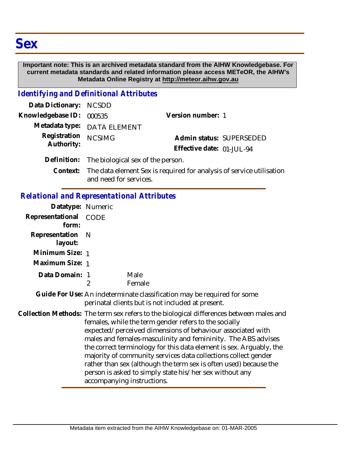## **Important note: This is an archived metadata standard from the AIHW Knowledgebase. For current metadata standards and related information please access METeOR, the AIHW's Metadata Online Registry at http://meteor.aihw.gov.au**

## *Identifying and Definitional Attributes*

| Data Dictionary: NCSDD     |                                               |                                                       |  |
|----------------------------|-----------------------------------------------|-------------------------------------------------------|--|
| Knowledgebase ID: 000535   |                                               | Version number: 1                                     |  |
|                            | Metadata type: DATA ELEMENT                   |                                                       |  |
| Registration<br>Authority: | <b>NCSIMG</b>                                 | Admin status: SUPERSEDED<br>Effective date: 01-JUL-94 |  |
|                            | Definition: The biological sex of the person. |                                                       |  |

Context: The data element Sex is required for analysis of service utilisation and need for services.

## *Relational and Representational Attributes*

| Datatype: Numeric         |                                                                                                                                                                                                                                                                                                                                                                                                                                                                                                                                                                                        |                                                                                                                              |
|---------------------------|----------------------------------------------------------------------------------------------------------------------------------------------------------------------------------------------------------------------------------------------------------------------------------------------------------------------------------------------------------------------------------------------------------------------------------------------------------------------------------------------------------------------------------------------------------------------------------------|------------------------------------------------------------------------------------------------------------------------------|
| Representational<br>form: | <b>CODE</b>                                                                                                                                                                                                                                                                                                                                                                                                                                                                                                                                                                            |                                                                                                                              |
| Representation<br>layout: | - N                                                                                                                                                                                                                                                                                                                                                                                                                                                                                                                                                                                    |                                                                                                                              |
| Minimum Size: 1           |                                                                                                                                                                                                                                                                                                                                                                                                                                                                                                                                                                                        |                                                                                                                              |
| Maximum Size: 1           |                                                                                                                                                                                                                                                                                                                                                                                                                                                                                                                                                                                        |                                                                                                                              |
| Data Domain: 1            | $\overline{2}$                                                                                                                                                                                                                                                                                                                                                                                                                                                                                                                                                                         | Male<br>Female                                                                                                               |
|                           |                                                                                                                                                                                                                                                                                                                                                                                                                                                                                                                                                                                        | Guide For Use: An indeterminate classification may be required for some<br>perinatal clients but is not included at present. |
|                           | Collection Methods: The term sex refers to the biological differences between males and<br>females, while the term gender refers to the socially<br>expected/perceived dimensions of behaviour associated with<br>males and females-masculinity and femininity. The ABS advises<br>the correct terminology for this data element is sex. Arguably, the<br>majority of community services data collections collect gender<br>rather than sex (although the term sex is often used) because the<br>person is asked to simply state his/her sex without any<br>accompanying instructions. |                                                                                                                              |